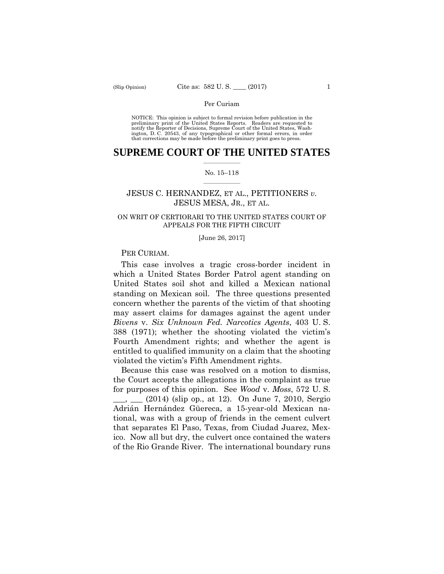preliminary print of the United States Reports. Readers are requested to notify the Reporter of Decisions, Supreme Court of the United States, Wash- ington, D. C. 20543, of any typographical or other formal errors, in order that corrections may be made before the preliminary print goes to press. NOTICE: This opinion is subject to formal revision before publication in the

## $\frac{1}{2}$  ,  $\frac{1}{2}$  ,  $\frac{1}{2}$  ,  $\frac{1}{2}$  ,  $\frac{1}{2}$  ,  $\frac{1}{2}$  ,  $\frac{1}{2}$ **SUPREME COURT OF THE UNITED STATES**

### $\frac{1}{2}$  ,  $\frac{1}{2}$  ,  $\frac{1}{2}$  ,  $\frac{1}{2}$  ,  $\frac{1}{2}$  ,  $\frac{1}{2}$ No. 15–118

# JESUS C. HERNANDEZ, ET AL., PETITIONERS *v.* JESUS MESA, JR., ET AL.

## ON WRIT OF CERTIORARI TO THE UNITED STATES COURT OF APPEALS FOR THE FIFTH CIRCUIT

#### [June 26, 2017]

## PER CURIAM.

This case involves a tragic cross-border incident in which a United States Border Patrol agent standing on United States soil shot and killed a Mexican national standing on Mexican soil. The three questions presented concern whether the parents of the victim of that shooting may assert claims for damages against the agent under *Bivens* v. *Six Unknown Fed. Narcotics Agents*, 403 U. S. 388 (1971); whether the shooting violated the victim's Fourth Amendment rights; and whether the agent is entitled to qualified immunity on a claim that the shooting violated the victim's Fifth Amendment rights.

Because this case was resolved on a motion to dismiss, the Court accepts the allegations in the complaint as true for purposes of this opinion. See *Wood* v. *Moss*, 572 U. S. \_\_\_, \_\_\_ (2014) (slip op., at 12). On June 7, 2010, Sergio Adrián Hernández Güereca, a 15-year-old Mexican national, was with a group of friends in the cement culvert that separates El Paso, Texas, from Ciudad Juarez, Mexico. Now all but dry, the culvert once contained the waters of the Rio Grande River. The international boundary runs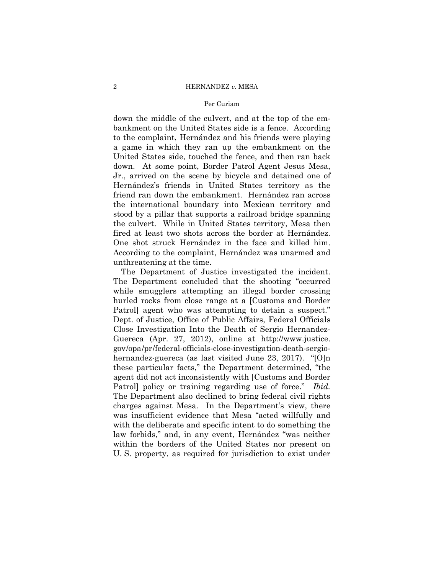### Per Curiam

down the middle of the culvert, and at the top of the embankment on the United States side is a fence. According to the complaint, Hernández and his friends were playing a game in which they ran up the embankment on the United States side, touched the fence, and then ran back down. At some point, Border Patrol Agent Jesus Mesa, Jr., arrived on the scene by bicycle and detained one of Hernández's friends in United States territory as the friend ran down the embankment. Hernández ran across the international boundary into Mexican territory and stood by a pillar that supports a railroad bridge spanning the culvert. While in United States territory, Mesa then fired at least two shots across the border at Hernández. One shot struck Hernández in the face and killed him. According to the complaint, Hernández was unarmed and unthreatening at the time.

 gov/opa/pr/federal-officials-close-investigation-death-sergio-The Department of Justice investigated the incident. The Department concluded that the shooting "occurred while smugglers attempting an illegal border crossing hurled rocks from close range at a [Customs and Border Patrol] agent who was attempting to detain a suspect." Dept. of Justice, Office of Public Affairs, Federal Officials Close Investigation Into the Death of Sergio Hernandez-Guereca (Apr. 27, 2012), online at http://www.justice. hernandez-guereca (as last visited June 23, 2017). "[O]n these particular facts," the Department determined, "the agent did not act inconsistently with [Customs and Border Patrol] policy or training regarding use of force." *Ibid.* The Department also declined to bring federal civil rights charges against Mesa. In the Department's view, there was insufficient evidence that Mesa "acted willfully and with the deliberate and specific intent to do something the law forbids," and, in any event, Hernández "was neither within the borders of the United States nor present on U. S. property, as required for jurisdiction to exist under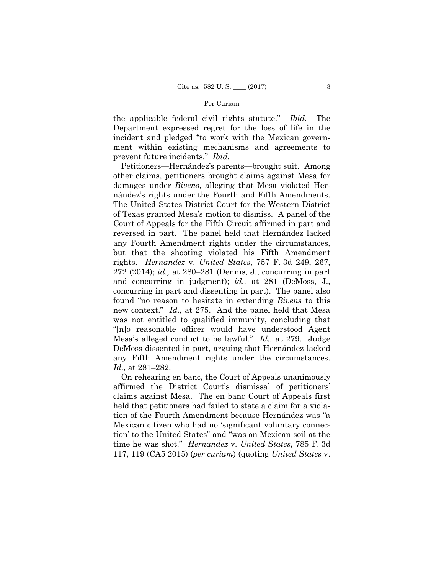the applicable federal civil rights statute." *Ibid.* The Department expressed regret for the loss of life in the incident and pledged "to work with the Mexican government within existing mechanisms and agreements to prevent future incidents." *Ibid.* 

 Petitioners—Hernández's parents—brought suit. Among other claims, petitioners brought claims against Mesa for damages under *Bivens*, alleging that Mesa violated Hernández's rights under the Fourth and Fifth Amendments. The United States District Court for the Western District of Texas granted Mesa's motion to dismiss. A panel of the Court of Appeals for the Fifth Circuit affirmed in part and reversed in part. The panel held that Hernández lacked any Fourth Amendment rights under the circumstances, but that the shooting violated his Fifth Amendment rights. *Hernandez* v. *United States*, 757 F. 3d 249, 267, 272 (2014); *id.,* at 280–281 (Dennis, J., concurring in part and concurring in judgment); *id.,* at 281 (DeMoss, J., concurring in part and dissenting in part). The panel also found "no reason to hesitate in extending *Bivens* to this new context." *Id.,* at 275. And the panel held that Mesa was not entitled to qualified immunity, concluding that "[n]o reasonable officer would have understood Agent Mesa's alleged conduct to be lawful." *Id.,* at 279. Judge DeMoss dissented in part, arguing that Hernández lacked any Fifth Amendment rights under the circumstances. *Id.,* at 281–282.

On rehearing en banc, the Court of Appeals unanimously affirmed the District Court's dismissal of petitioners' claims against Mesa. The en banc Court of Appeals first held that petitioners had failed to state a claim for a violation of the Fourth Amendment because Hernández was "a Mexican citizen who had no 'significant voluntary connection' to the United States" and "was on Mexican soil at the time he was shot." *Hernandez* v. *United States*, 785 F. 3d 117, 119 (CA5 2015) (*per curiam*) (quoting *United States* v.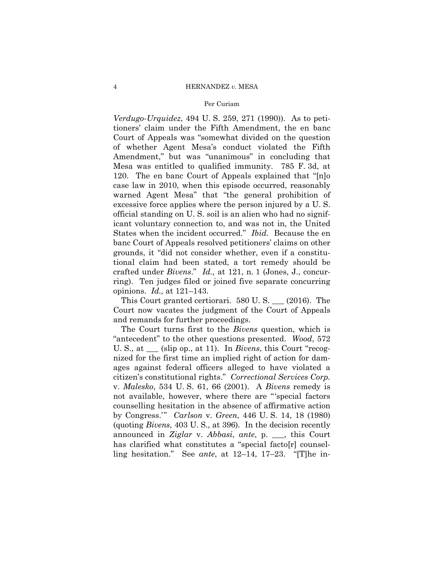## Per Curiam

*Verdugo-Urquidez*, 494 U. S. 259, 271 (1990)). As to petitioners' claim under the Fifth Amendment, the en banc Court of Appeals was "somewhat divided on the question of whether Agent Mesa's conduct violated the Fifth Amendment," but was "unanimous" in concluding that Mesa was entitled to qualified immunity. 785 F. 3d, at 120. The en banc Court of Appeals explained that "[n]o case law in 2010, when this episode occurred, reasonably warned Agent Mesa" that "the general prohibition of excessive force applies where the person injured by a U. S. official standing on U. S. soil is an alien who had no significant voluntary connection to, and was not in, the United States when the incident occurred." *Ibid.* Because the en banc Court of Appeals resolved petitioners' claims on other grounds, it "did not consider whether, even if a constitutional claim had been stated, a tort remedy should be crafted under *Bivens*." *Id.,* at 121, n. 1 (Jones, J., concurring). Ten judges filed or joined five separate concurring opinions. *Id.,* at 121–143.

This Court granted certiorari. 580 U. S. \_\_\_ (2016). The Court now vacates the judgment of the Court of Appeals and remands for further proceedings.

 (quoting *Bivens*, 403 U. S., at 396). In the decision recently The Court turns first to the *Bivens* question, which is "antecedent" to the other questions presented. *Wood*, 572 U. S., at \_\_\_ (slip op., at 11). In *Bivens*, this Court "recognized for the first time an implied right of action for damages against federal officers alleged to have violated a citizen's constitutional rights." *Correctional Services Corp.*  v. *Malesko*, 534 U. S. 61, 66 (2001). A *Bivens* remedy is not available, however, where there are "'special factors counselling hesitation in the absence of affirmative action by Congress.'" *Carlson* v. *Green*, 446 U. S. 14, 18 (1980) announced in *Ziglar* v. *Abbasi*, *ante*, p. \_\_\_, this Court has clarified what constitutes a "special facto[r] counselling hesitation." See *ante*, at 12–14, 17–23. "[T]he in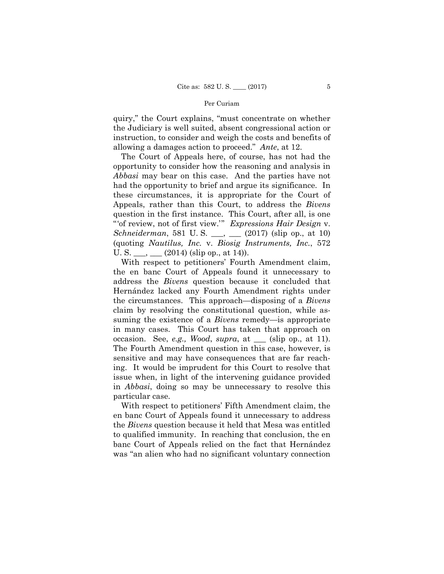quiry," the Court explains, "must concentrate on whether the Judiciary is well suited, absent congressional action or instruction, to consider and weigh the costs and benefits of allowing a damages action to proceed." *Ante*, at 12.

The Court of Appeals here, of course, has not had the opportunity to consider how the reasoning and analysis in *Abbasi* may bear on this case. And the parties have not had the opportunity to brief and argue its significance. In these circumstances, it is appropriate for the Court of Appeals, rather than this Court, to address the *Bivens*  question in the first instance. This Court, after all, is one "'of review, not of first view.'" *Expressions Hair Design* v. *Schneiderman*, 581 U. S. \_\_\_, \_\_\_ (2017) (slip op., at 10) (quoting *Nautilus, Inc.* v. *Biosig Instruments, Inc.*, 572 U. S.  $\_\_$ ,  $\_\_$  (2014) (slip op., at 14)).

With respect to petitioners' Fourth Amendment claim, the en banc Court of Appeals found it unnecessary to address the *Bivens* question because it concluded that Hernández lacked any Fourth Amendment rights under the circumstances. This approach—disposing of a *Bivens*  claim by resolving the constitutional question, while assuming the existence of a *Bivens* remedy—is appropriate in many cases. This Court has taken that approach on occasion. See, *e.g., Wood*, *supra*, at \_\_\_ (slip op., at 11). The Fourth Amendment question in this case, however, is sensitive and may have consequences that are far reaching. It would be imprudent for this Court to resolve that issue when, in light of the intervening guidance provided in *Abbasi*, doing so may be unnecessary to resolve this particular case.

With respect to petitioners' Fifth Amendment claim, the en banc Court of Appeals found it unnecessary to address the *Bivens* question because it held that Mesa was entitled to qualified immunity. In reaching that conclusion, the en banc Court of Appeals relied on the fact that Hernández was "an alien who had no significant voluntary connection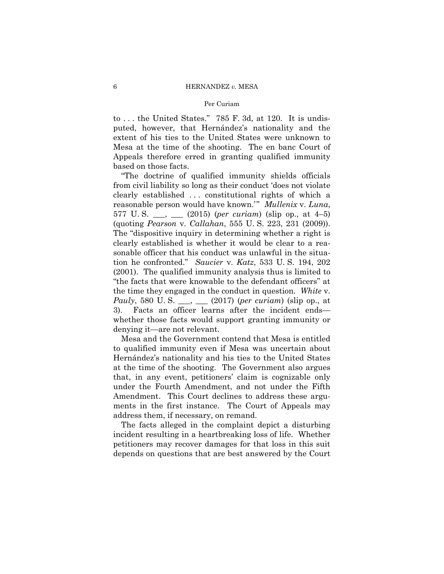## Per Curiam

to . . . the United States." 785 F. 3d, at 120. It is undisputed, however, that Hernández's nationality and the extent of his ties to the United States were unknown to Mesa at the time of the shooting. The en banc Court of Appeals therefore erred in granting qualified immunity based on those facts.

"The doctrine of qualified immunity shields officials from civil liability so long as their conduct 'does not violate clearly established . . . constitutional rights of which a reasonable person would have known.'" *Mullenix* v. *Luna*, 577 U. S. \_\_\_, \_\_\_ (2015) (*per curiam*) (slip op., at 4–5) (quoting *Pearson* v. *Callahan*, 555 U. S. 223, 231 (2009)). The "dispositive inquiry in determining whether a right is clearly established is whether it would be clear to a reasonable officer that his conduct was unlawful in the situation he confronted." *Saucier* v. *Katz*, 533 U. S. 194, 202 (2001). The qualified immunity analysis thus is limited to "the facts that were knowable to the defendant officers" at the time they engaged in the conduct in question. *White* v. *Pauly*, 580 U. S. \_\_\_, \_\_\_ (2017) (*per curiam*) (slip op., at 3). Facts an officer learns after the incident ends whether those facts would support granting immunity or denying it—are not relevant.

Mesa and the Government contend that Mesa is entitled to qualified immunity even if Mesa was uncertain about Hernández's nationality and his ties to the United States at the time of the shooting. The Government also argues that, in any event, petitioners' claim is cognizable only under the Fourth Amendment, and not under the Fifth Amendment. This Court declines to address these arguments in the first instance. The Court of Appeals may address them, if necessary, on remand.

The facts alleged in the complaint depict a disturbing incident resulting in a heartbreaking loss of life. Whether petitioners may recover damages for that loss in this suit depends on questions that are best answered by the Court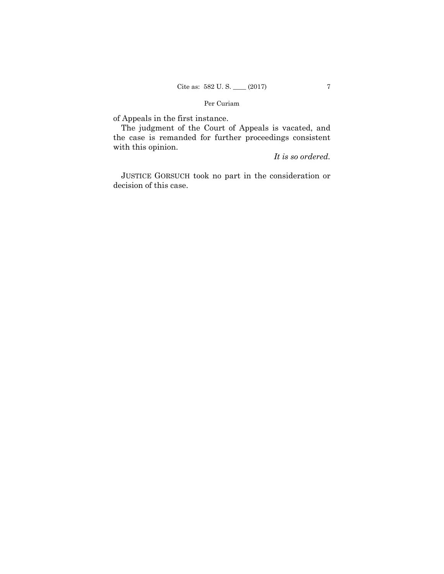of Appeals in the first instance.

The judgment of the Court of Appeals is vacated, and the case is remanded for further proceedings consistent with this opinion.

*It is so ordered.*

 JUSTICE GORSUCH took no part in the consideration or decision of this case.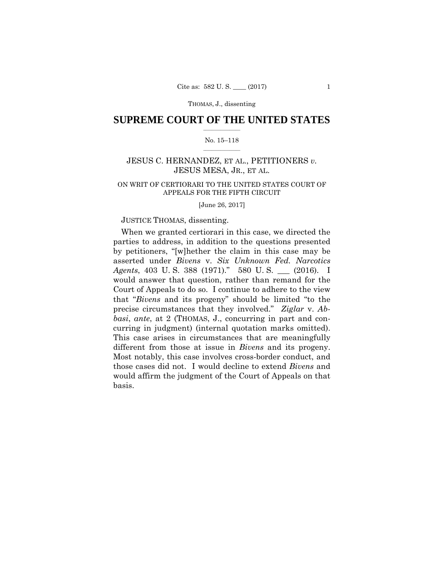THOMAS, J., dissenting

## $\frac{1}{2}$  ,  $\frac{1}{2}$  ,  $\frac{1}{2}$  ,  $\frac{1}{2}$  ,  $\frac{1}{2}$  ,  $\frac{1}{2}$  ,  $\frac{1}{2}$ **SUPREME COURT OF THE UNITED STATES**

## $\frac{1}{2}$  ,  $\frac{1}{2}$  ,  $\frac{1}{2}$  ,  $\frac{1}{2}$  ,  $\frac{1}{2}$  ,  $\frac{1}{2}$ No. 15–118

# JESUS C. HERNANDEZ, ET AL., PETITIONERS *v.* JESUS MESA, JR., ET AL.

# ON WRIT OF CERTIORARI TO THE UNITED STATES COURT OF APPEALS FOR THE FIFTH CIRCUIT

[June 26, 2017]

## JUSTICE THOMAS, dissenting.

 curring in judgment) (internal quotation marks omitted). When we granted certiorari in this case, we directed the parties to address, in addition to the questions presented by petitioners, "[w]hether the claim in this case may be asserted under *Bivens* v. *Six Unknown Fed. Narcotics Agents*, 403 U. S. 388 (1971)." 580 U. S. \_\_\_ (2016). I would answer that question, rather than remand for the Court of Appeals to do so. I continue to adhere to the view that "*Bivens* and its progeny" should be limited "to the precise circumstances that they involved." *Ziglar* v. *Abbasi*, *ante*, at 2 (THOMAS, J., concurring in part and con-This case arises in circumstances that are meaningfully different from those at issue in *Bivens* and its progeny. Most notably, this case involves cross-border conduct, and those cases did not. I would decline to extend *Bivens* and would affirm the judgment of the Court of Appeals on that basis.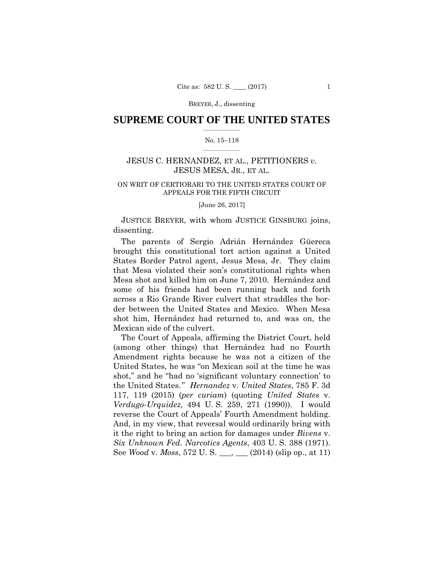BREYER, J., dissenting

## $\frac{1}{2}$  ,  $\frac{1}{2}$  ,  $\frac{1}{2}$  ,  $\frac{1}{2}$  ,  $\frac{1}{2}$  ,  $\frac{1}{2}$  ,  $\frac{1}{2}$ **SUPREME COURT OF THE UNITED STATES**

### $\frac{1}{2}$  ,  $\frac{1}{2}$  ,  $\frac{1}{2}$  ,  $\frac{1}{2}$  ,  $\frac{1}{2}$  ,  $\frac{1}{2}$ No. 15–118

# JESUS C. HERNANDEZ, ET AL., PETITIONERS *v.* JESUS MESA, JR., ET AL.

# ON WRIT OF CERTIORARI TO THE UNITED STATES COURT OF APPEALS FOR THE FIFTH CIRCUIT

[June 26, 2017]

JUSTICE BREYER, with whom JUSTICE GINSBURG joins, dissenting.

The parents of Sergio Adrián Hernández Güereca brought this constitutional tort action against a United States Border Patrol agent, Jesus Mesa, Jr. They claim that Mesa violated their son's constitutional rights when Mesa shot and killed him on June 7, 2010. Hernández and some of his friends had been running back and forth across a Rio Grande River culvert that straddles the border between the United States and Mexico. When Mesa shot him, Hernández had returned to, and was on, the Mexican side of the culvert.

The Court of Appeals, affirming the District Court, held (among other things) that Hernández had no Fourth Amendment rights because he was not a citizen of the United States, he was "on Mexican soil at the time he was shot," and he "had no 'significant voluntary connection' to the United States." *Hernandez* v. *United States*, 785 F. 3d 117, 119 (2015) (*per curiam*) (quoting *United States* v. *Verdugo-Urquidez*, 494 U. S. 259, 271 (1990)). I would reverse the Court of Appeals' Fourth Amendment holding. And, in my view, that reversal would ordinarily bring with it the right to bring an action for damages under *Bivens* v. *Six Unknown Fed. Narcotics Agents*, 403 U. S. 388 (1971). See *Wood* v. *Moss*, 572 U. S. \_\_\_, \_\_\_ (2014) (slip op., at 11)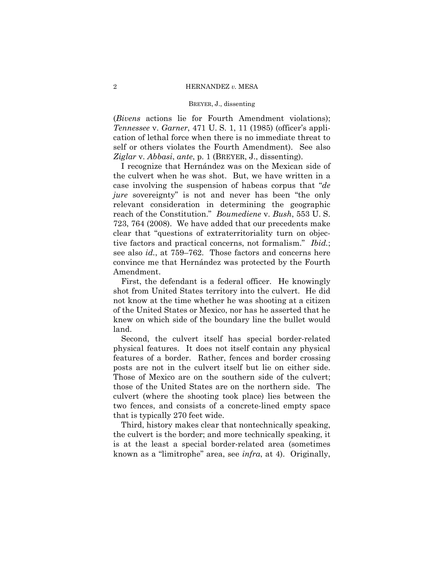### BREYER, J., dissenting

(*Bivens* actions lie for Fourth Amendment violations); *Tennessee* v. *Garner*, 471 U. S. 1, 11 (1985) (officer's application of lethal force when there is no immediate threat to self or others violates the Fourth Amendment). See also *Ziglar* v. *Abbasi*, *ante*, p. 1 (BREYER, J., dissenting).

I recognize that Hernández was on the Mexican side of the culvert when he was shot. But, we have written in a case involving the suspension of habeas corpus that "*de jure* sovereignty" is not and never has been "the only relevant consideration in determining the geographic reach of the Constitution." *Boumediene* v. *Bush*, 553 U. S. 723, 764 (2008). We have added that our precedents make clear that "questions of extraterritoriality turn on objective factors and practical concerns, not formalism." *Ibid.*; see also *id.*, at 759–762. Those factors and concerns here convince me that Hernández was protected by the Fourth Amendment.

First, the defendant is a federal officer. He knowingly shot from United States territory into the culvert. He did not know at the time whether he was shooting at a citizen of the United States or Mexico, nor has he asserted that he knew on which side of the boundary line the bullet would land.

Second, the culvert itself has special border-related physical features. It does not itself contain any physical features of a border. Rather, fences and border crossing posts are not in the culvert itself but lie on either side. Those of Mexico are on the southern side of the culvert; those of the United States are on the northern side. The culvert (where the shooting took place) lies between the two fences, and consists of a concrete-lined empty space that is typically 270 feet wide.

Third, history makes clear that nontechnically speaking, the culvert is the border; and more technically speaking, it is at the least a special border-related area (sometimes known as a "limitrophe" area, see *infra*, at 4). Originally,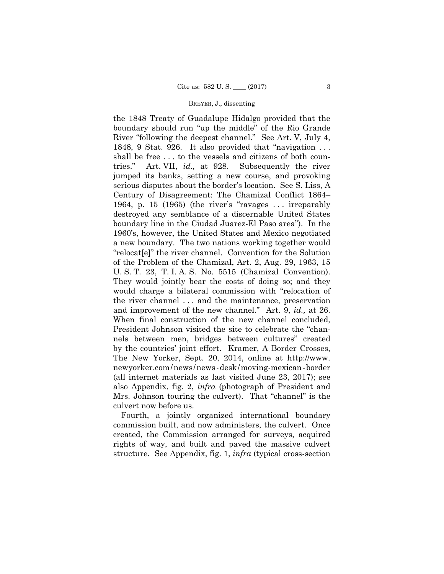### BREYER, J., dissenting

 U. S. T. 23, T. I. A. S. No. 5515 (Chamizal Convention). newyorker.com/news /news -desk/moving-mexican-border the 1848 Treaty of Guadalupe Hidalgo provided that the boundary should run "up the middle" of the Rio Grande River "following the deepest channel." See Art. V, July 4, 1848, 9 Stat. 926. It also provided that "navigation . . . shall be free . . . to the vessels and citizens of both countries." Art. VII, *id.,* at 928. Subsequently the river jumped its banks, setting a new course, and provoking serious disputes about the border's location. See S. Liss, A Century of Disagreement: The Chamizal Conflict 1864– 1964, p. 15 (1965) (the river's "ravages . . . irreparably destroyed any semblance of a discernable United States boundary line in the Ciudad Juarez-El Paso area"). In the 1960's, however, the United States and Mexico negotiated a new boundary. The two nations working together would "relocat[e]" the river channel. Convention for the Solution of the Problem of the Chamizal, Art. 2, Aug. 29, 1963, 15 They would jointly bear the costs of doing so; and they would charge a bilateral commission with "relocation of the river channel . . . and the maintenance, preservation and improvement of the new channel." Art. 9, *id.,* at 26. When final construction of the new channel concluded, President Johnson visited the site to celebrate the "channels between men, bridges between cultures" created by the countries' joint effort. Kramer, A Border Crosses, The New Yorker, Sept. 20, 2014, online at http://www. (all internet materials as last visited June 23, 2017); see also Appendix, fig. 2, *infra* (photograph of President and Mrs. Johnson touring the culvert). That "channel" is the culvert now before us.

Fourth, a jointly organized international boundary commission built, and now administers, the culvert. Once created, the Commission arranged for surveys, acquired rights of way, and built and paved the massive culvert structure. See Appendix, fig. 1, *infra* (typical cross-section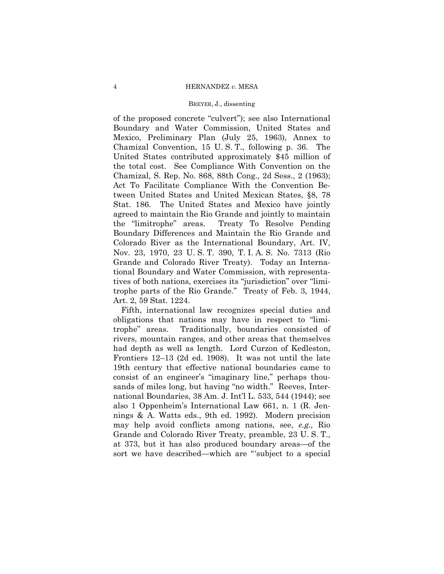### BREYER, J., dissenting

of the proposed concrete "culvert"); see also International Boundary and Water Commission, United States and Mexico, Preliminary Plan (July 25, 1963), Annex to Chamizal Convention, 15 U. S. T., following p. 36. The United States contributed approximately \$45 million of the total cost. See Compliance With Convention on the Chamizal, S. Rep. No. 868, 88th Cong., 2d Sess., 2 (1963); Act To Facilitate Compliance With the Convention Between United States and United Mexican States, §8, 78 Stat. 186. The United States and Mexico have jointly agreed to maintain the Rio Grande and jointly to maintain the "limitrophe" areas. Treaty To Resolve Pending Boundary Differences and Maintain the Rio Grande and Colorado River as the International Boundary, Art. IV, Nov. 23, 1970, 23 U. S. T. 390, T. I. A. S. No. 7313 (Rio Grande and Colorado River Treaty). Today an International Boundary and Water Commission, with representatives of both nations, exercises its "jurisdiction" over "limitrophe parts of the Rio Grande." Treaty of Feb. 3, 1944, Art. 2, 59 Stat. 1224.

Fifth, international law recognizes special duties and obligations that nations may have in respect to "limitrophe" areas. Traditionally, boundaries consisted of rivers, mountain ranges, and other areas that themselves had depth as well as length. Lord Curzon of Kedleston, Frontiers 12–13 (2d ed. 1908). It was not until the late 19th century that effective national boundaries came to consist of an engineer's "imaginary line," perhaps thousands of miles long, but having "no width." Reeves, International Boundaries, 38 Am. J. Int'l L. 533, 544 (1944); see also 1 Oppenheim's International Law 661, n. 1 (R. Jennings & A. Watts eds., 9th ed. 1992). Modern precision may help avoid conflicts among nations, see, *e.g.,* Rio Grande and Colorado River Treaty, preamble, 23 U. S. T., at 373, but it has also produced boundary areas—of the sort we have described—which are "'subject to a special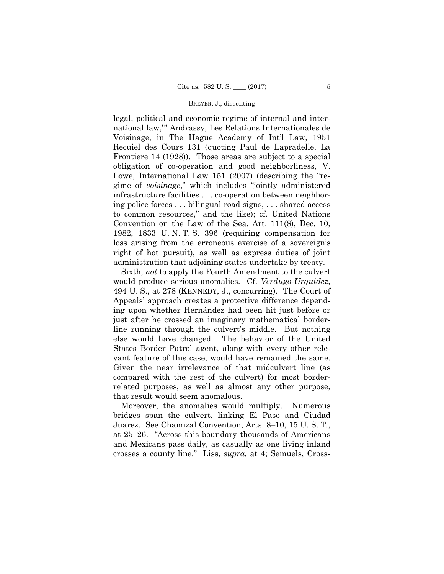### BREYER, J., dissenting

legal, political and economic regime of internal and international law,'" Andrassy, Les Relations Internationales de Voisinage, in The Hague Academy of Int'l Law, 1951 Recuiel des Cours 131 (quoting Paul de Lapradelle, La Frontiere 14 (1928)). Those areas are subject to a special obligation of co-operation and good neighborliness, V. Lowe, International Law 151 (2007) (describing the "regime of *voisinage*," which includes "jointly administered infrastructure facilities . . . co-operation between neighboring police forces . . . bilingual road signs, . . . shared access to common resources," and the like); cf. United Nations Convention on the Law of the Sea, Art. 111(8), Dec. 10, 1982, 1833 U. N. T. S. 396 (requiring compensation for loss arising from the erroneous exercise of a sovereign's right of hot pursuit), as well as express duties of joint administration that adjoining states undertake by treaty.

Sixth, *not* to apply the Fourth Amendment to the culvert would produce serious anomalies. Cf. *Verdugo-Urquidez*, 494 U. S., at 278 (KENNEDY, J., concurring). The Court of Appeals' approach creates a protective difference depending upon whether Hernández had been hit just before or just after he crossed an imaginary mathematical borderline running through the culvert's middle. But nothing else would have changed. The behavior of the United States Border Patrol agent, along with every other relevant feature of this case, would have remained the same. Given the near irrelevance of that midculvert line (as compared with the rest of the culvert) for most borderrelated purposes, as well as almost any other purpose, that result would seem anomalous.

Moreover, the anomalies would multiply. Numerous bridges span the culvert, linking El Paso and Ciudad Juarez. See Chamizal Convention, Arts. 8–10, 15 U. S. T., at 25–26. "Across this boundary thousands of Americans and Mexicans pass daily, as casually as one living inland crosses a county line." Liss, *supra,* at 4; Semuels, Cross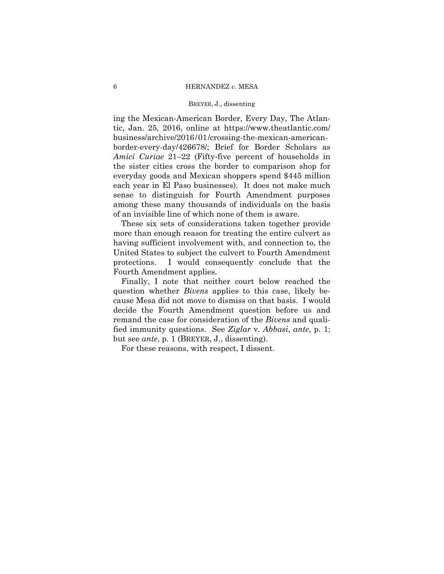### BREYER, J., dissenting

 business/archive/2016/01/crossing-the-mexican-americaning the Mexican-American Border, Every Day, The Atlantic, Jan. 25, 2016, online at https://www.theatlantic.com/ border-every-day/426678/; Brief for Border Scholars as *Amici Curiae* 21–22 (Fifty-five percent of households in the sister cities cross the border to comparison shop for everyday goods and Mexican shoppers spend \$445 million each year in El Paso businesses). It does not make much sense to distinguish for Fourth Amendment purposes among these many thousands of individuals on the basis of an invisible line of which none of them is aware.

These six sets of considerations taken together provide more than enough reason for treating the entire culvert as having sufficient involvement with, and connection to, the United States to subject the culvert to Fourth Amendment protections. I would consequently conclude that the Fourth Amendment applies.

Finally, I note that neither court below reached the question whether *Bivens* applies to this case, likely because Mesa did not move to dismiss on that basis. I would decide the Fourth Amendment question before us and remand the case for consideration of the *Bivens* and qualified immunity questions. See *Ziglar* v. *Abbasi*, *ante*, p. 1; but see *ante*, p. 1 (BREYER, J., dissenting).

For these reasons, with respect, I dissent.